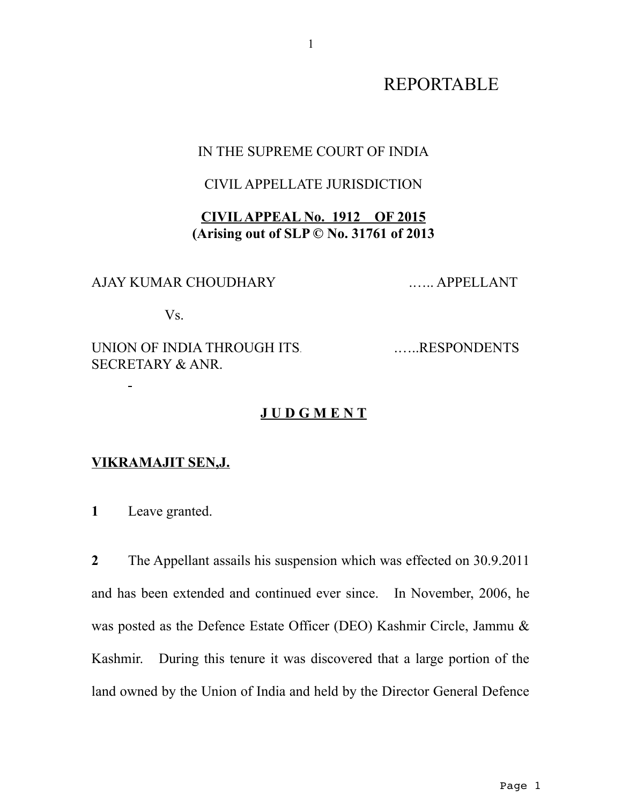# REPORTABLE

#### IN THE SUPREME COURT OF INDIA

### CIVIL APPELLATE JURISDICTION

# **CIVIL APPEAL No. 1912 OF 2015 (Arising out of SLP © No. 31761 of 2013**

## AJAY KUMAR CHOUDHARY .….. APPELLANT

Vs.

# UNION OF INDIA THROUGH ITS. ........RESPONDENTS SECRETARY & ANR.

## **J U D G M E N T**

#### **VIKRAMAJIT SEN,J.**

**1** Leave granted.

**2** The Appellant assails his suspension which was effected on 30.9.2011 and has been extended and continued ever since. In November, 2006, he was posted as the Defence Estate Officer (DEO) Kashmir Circle, Jammu & Kashmir. During this tenure it was discovered that a large portion of the land owned by the Union of India and held by the Director General Defence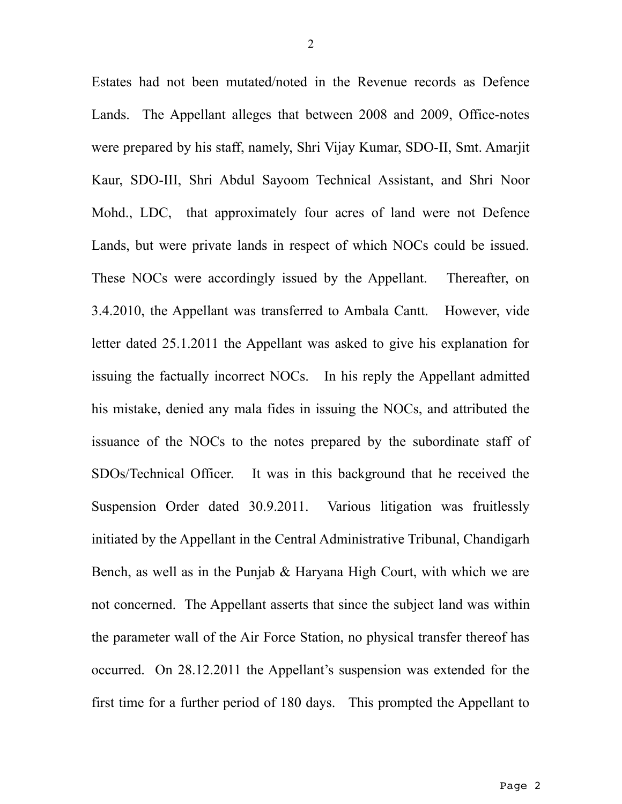Estates had not been mutated/noted in the Revenue records as Defence Lands. The Appellant alleges that between 2008 and 2009, Office-notes were prepared by his staff, namely, Shri Vijay Kumar, SDO-II, Smt. Amarjit Kaur, SDO-III, Shri Abdul Sayoom Technical Assistant, and Shri Noor Mohd., LDC, that approximately four acres of land were not Defence Lands, but were private lands in respect of which NOCs could be issued. These NOCs were accordingly issued by the Appellant. Thereafter, on 3.4.2010, the Appellant was transferred to Ambala Cantt. However, vide letter dated 25.1.2011 the Appellant was asked to give his explanation for issuing the factually incorrect NOCs. In his reply the Appellant admitted his mistake, denied any mala fides in issuing the NOCs, and attributed the issuance of the NOCs to the notes prepared by the subordinate staff of SDOs/Technical Officer. It was in this background that he received the Suspension Order dated 30.9.2011. Various litigation was fruitlessly initiated by the Appellant in the Central Administrative Tribunal, Chandigarh Bench, as well as in the Punjab & Haryana High Court, with which we are not concerned. The Appellant asserts that since the subject land was within the parameter wall of the Air Force Station, no physical transfer thereof has occurred. On 28.12.2011 the Appellant's suspension was extended for the first time for a further period of 180 days. This prompted the Appellant to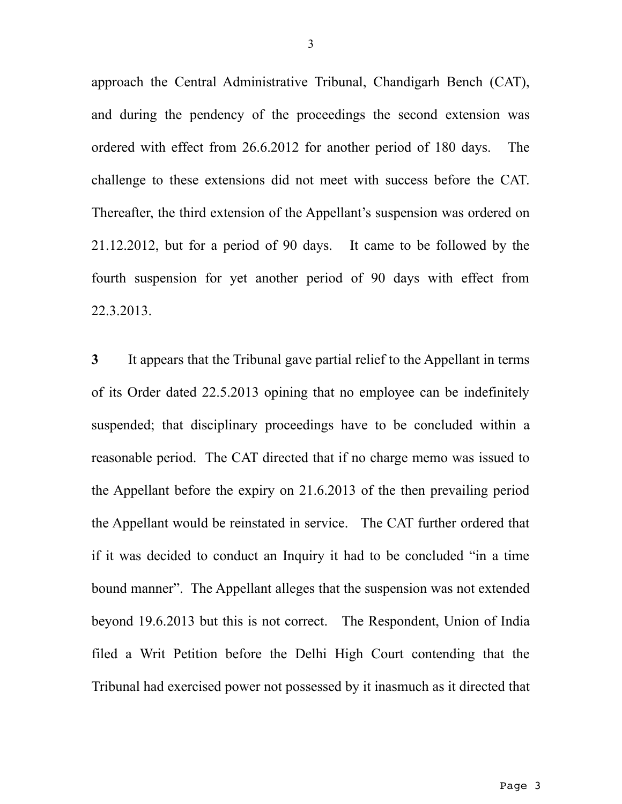approach the Central Administrative Tribunal, Chandigarh Bench (CAT), and during the pendency of the proceedings the second extension was ordered with effect from 26.6.2012 for another period of 180 days. The challenge to these extensions did not meet with success before the CAT. Thereafter, the third extension of the Appellant's suspension was ordered on 21.12.2012, but for a period of 90 days. It came to be followed by the fourth suspension for yet another period of 90 days with effect from 22.3.2013.

**3** It appears that the Tribunal gave partial relief to the Appellant in terms of its Order dated 22.5.2013 opining that no employee can be indefinitely suspended; that disciplinary proceedings have to be concluded within a reasonable period. The CAT directed that if no charge memo was issued to the Appellant before the expiry on 21.6.2013 of the then prevailing period the Appellant would be reinstated in service. The CAT further ordered that if it was decided to conduct an Inquiry it had to be concluded "in a time bound manner". The Appellant alleges that the suspension was not extended beyond 19.6.2013 but this is not correct. The Respondent, Union of India filed a Writ Petition before the Delhi High Court contending that the Tribunal had exercised power not possessed by it inasmuch as it directed that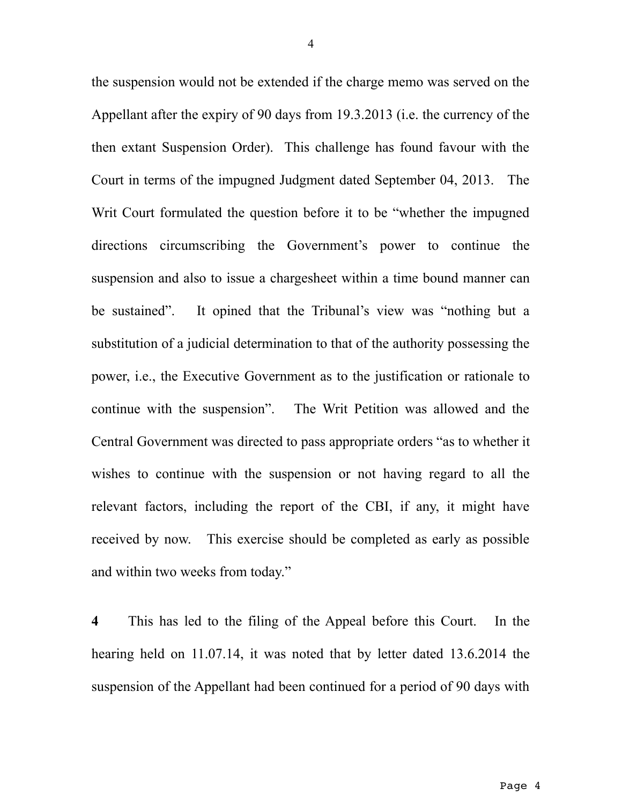the suspension would not be extended if the charge memo was served on the Appellant after the expiry of 90 days from 19.3.2013 (i.e. the currency of the then extant Suspension Order). This challenge has found favour with the Court in terms of the impugned Judgment dated September 04, 2013. The Writ Court formulated the question before it to be "whether the impugned directions circumscribing the Government's power to continue the suspension and also to issue a chargesheet within a time bound manner can be sustained". It opined that the Tribunal's view was "nothing but a substitution of a judicial determination to that of the authority possessing the power, i.e., the Executive Government as to the justification or rationale to continue with the suspension". The Writ Petition was allowed and the Central Government was directed to pass appropriate orders "as to whether it wishes to continue with the suspension or not having regard to all the relevant factors, including the report of the CBI, if any, it might have received by now. This exercise should be completed as early as possible and within two weeks from today."

**4** This has led to the filing of the Appeal before this Court. In the hearing held on 11.07.14, it was noted that by letter dated 13.6.2014 the suspension of the Appellant had been continued for a period of 90 days with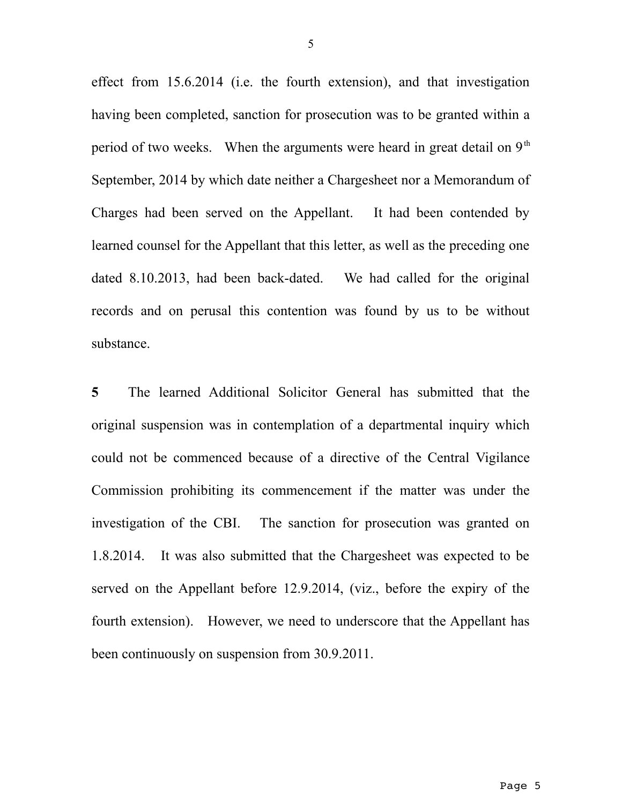effect from 15.6.2014 (i.e. the fourth extension), and that investigation having been completed, sanction for prosecution was to be granted within a period of two weeks. When the arguments were heard in great detail on  $9<sup>th</sup>$ September, 2014 by which date neither a Chargesheet nor a Memorandum of Charges had been served on the Appellant. It had been contended by learned counsel for the Appellant that this letter, as well as the preceding one dated 8.10.2013, had been back-dated. We had called for the original records and on perusal this contention was found by us to be without substance.

**5** The learned Additional Solicitor General has submitted that the original suspension was in contemplation of a departmental inquiry which could not be commenced because of a directive of the Central Vigilance Commission prohibiting its commencement if the matter was under the investigation of the CBI. The sanction for prosecution was granted on 1.8.2014. It was also submitted that the Chargesheet was expected to be served on the Appellant before 12.9.2014, (viz., before the expiry of the fourth extension). However, we need to underscore that the Appellant has been continuously on suspension from 30.9.2011.

5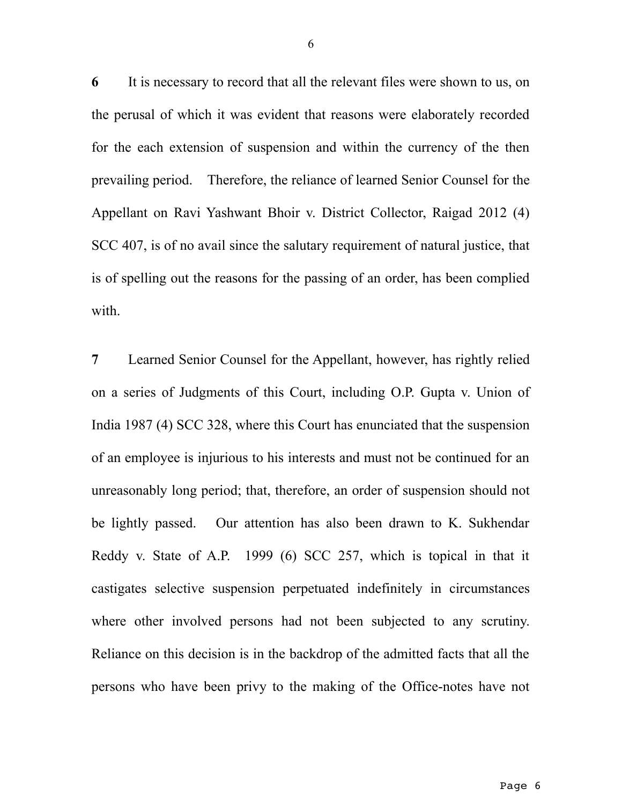**6** It is necessary to record that all the relevant files were shown to us, on the perusal of which it was evident that reasons were elaborately recorded for the each extension of suspension and within the currency of the then prevailing period. Therefore, the reliance of learned Senior Counsel for the Appellant on Ravi Yashwant Bhoir v. District Collector, Raigad 2012 (4) SCC 407, is of no avail since the salutary requirement of natural justice, that is of spelling out the reasons for the passing of an order, has been complied with.

**7** Learned Senior Counsel for the Appellant, however, has rightly relied on a series of Judgments of this Court, including O.P. Gupta v. Union of India 1987 (4) SCC 328, where this Court has enunciated that the suspension of an employee is injurious to his interests and must not be continued for an unreasonably long period; that, therefore, an order of suspension should not be lightly passed. Our attention has also been drawn to K. Sukhendar Reddy v. State of A.P. 1999 (6) SCC 257, which is topical in that it castigates selective suspension perpetuated indefinitely in circumstances where other involved persons had not been subjected to any scrutiny. Reliance on this decision is in the backdrop of the admitted facts that all the persons who have been privy to the making of the Office-notes have not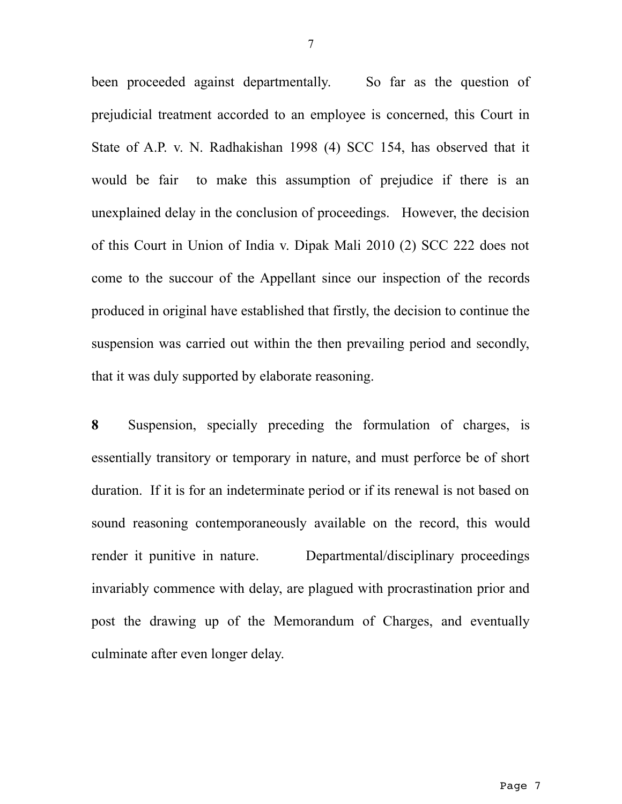been proceeded against departmentally. So far as the question of prejudicial treatment accorded to an employee is concerned, this Court in State of A.P. v. N. Radhakishan 1998 (4) SCC 154, has observed that it would be fair to make this assumption of prejudice if there is an unexplained delay in the conclusion of proceedings. However, the decision of this Court in Union of India v. Dipak Mali 2010 (2) SCC 222 does not come to the succour of the Appellant since our inspection of the records produced in original have established that firstly, the decision to continue the suspension was carried out within the then prevailing period and secondly, that it was duly supported by elaborate reasoning.

**8** Suspension, specially preceding the formulation of charges, is essentially transitory or temporary in nature, and must perforce be of short duration. If it is for an indeterminate period or if its renewal is not based on sound reasoning contemporaneously available on the record, this would render it punitive in nature. Departmental/disciplinary proceedings invariably commence with delay, are plagued with procrastination prior and post the drawing up of the Memorandum of Charges, and eventually culminate after even longer delay.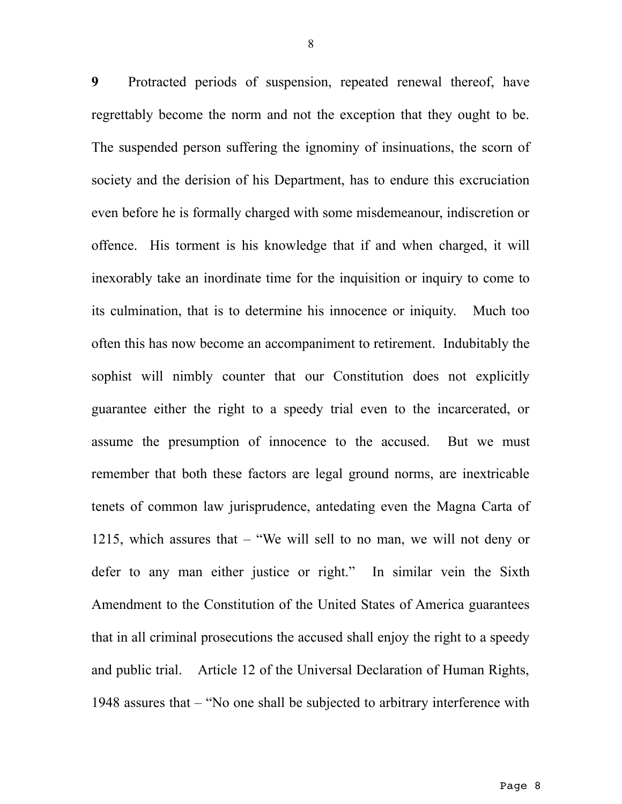**9** Protracted periods of suspension, repeated renewal thereof, have regrettably become the norm and not the exception that they ought to be. The suspended person suffering the ignominy of insinuations, the scorn of society and the derision of his Department, has to endure this excruciation even before he is formally charged with some misdemeanour, indiscretion or offence. His torment is his knowledge that if and when charged, it will inexorably take an inordinate time for the inquisition or inquiry to come to its culmination, that is to determine his innocence or iniquity. Much too often this has now become an accompaniment to retirement. Indubitably the sophist will nimbly counter that our Constitution does not explicitly guarantee either the right to a speedy trial even to the incarcerated, or assume the presumption of innocence to the accused. But we must remember that both these factors are legal ground norms, are inextricable tenets of common law jurisprudence, antedating even the Magna Carta of 1215, which assures that – "We will sell to no man, we will not deny or defer to any man either justice or right." In similar vein the Sixth Amendment to the Constitution of the United States of America guarantees that in all criminal prosecutions the accused shall enjoy the right to a speedy and public trial. Article 12 of the Universal Declaration of Human Rights, 1948 assures that – "No one shall be subjected to arbitrary interference with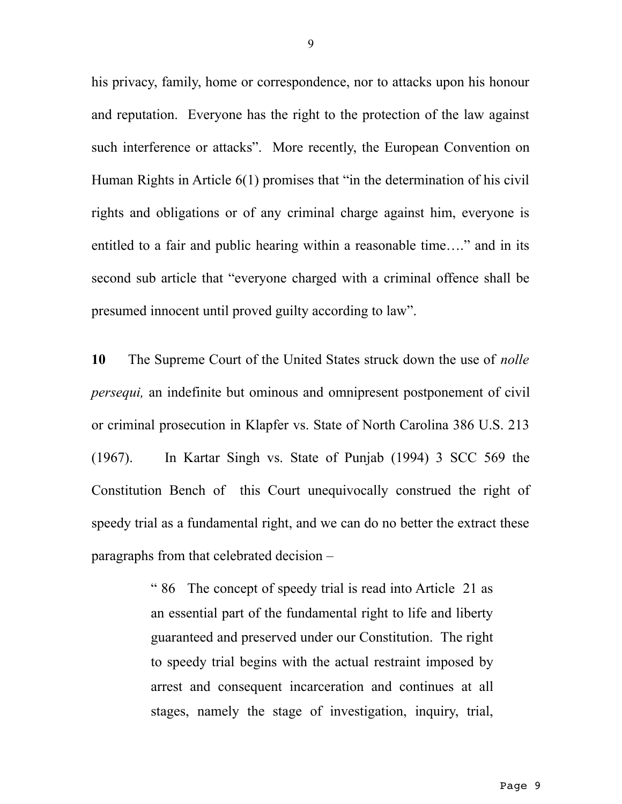his privacy, family, home or correspondence, nor to attacks upon his honour and reputation. Everyone has the right to the protection of the law against such interference or attacks". More recently, the European Convention on Human Rights in Article 6(1) promises that "in the determination of his civil rights and obligations or of any criminal charge against him, everyone is entitled to a fair and public hearing within a reasonable time…." and in its second sub article that "everyone charged with a criminal offence shall be presumed innocent until proved guilty according to law".

**10** The Supreme Court of the United States struck down the use of *nolle persequi,* an indefinite but ominous and omnipresent postponement of civil or criminal prosecution in Klapfer vs. State of North Carolina 386 U.S. 213 (1967). In Kartar Singh vs. State of Punjab (1994) 3 SCC 569 the Constitution Bench of this Court unequivocally construed the right of speedy trial as a fundamental right, and we can do no better the extract these paragraphs from that celebrated decision –

> " 86 The concept of speedy trial is read into Article 21 as an essential part of the fundamental right to life and liberty guaranteed and preserved under our Constitution. The right to speedy trial begins with the actual restraint imposed by arrest and consequent incarceration and continues at all stages, namely the stage of investigation, inquiry, trial,

9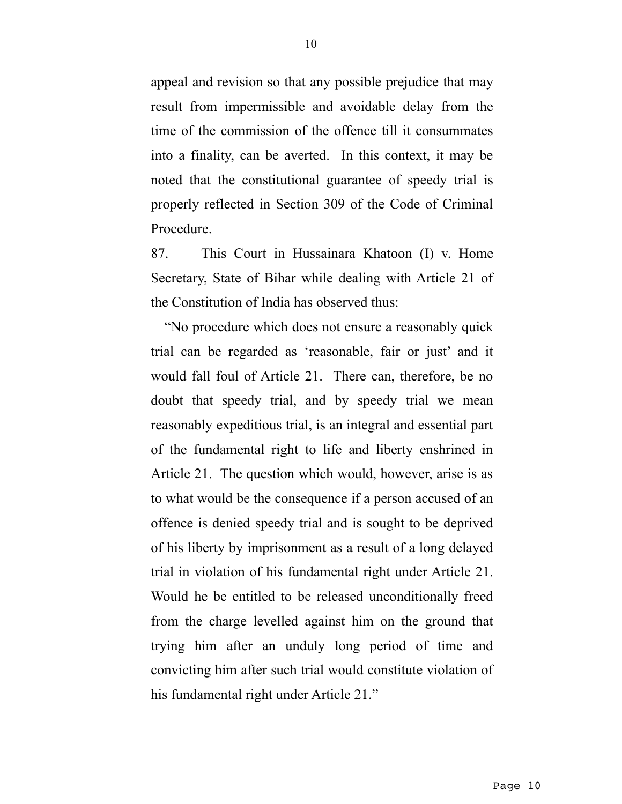appeal and revision so that any possible prejudice that may result from impermissible and avoidable delay from the time of the commission of the offence till it consummates into a finality, can be averted. In this context, it may be noted that the constitutional guarantee of speedy trial is properly reflected in Section 309 of the Code of Criminal Procedure.

87. This Court in Hussainara Khatoon (I) v. Home Secretary, State of Bihar while dealing with Article 21 of the Constitution of India has observed thus:

"No procedure which does not ensure a reasonably quick trial can be regarded as 'reasonable, fair or just' and it would fall foul of Article 21. There can, therefore, be no doubt that speedy trial, and by speedy trial we mean reasonably expeditious trial, is an integral and essential part of the fundamental right to life and liberty enshrined in Article 21. The question which would, however, arise is as to what would be the consequence if a person accused of an offence is denied speedy trial and is sought to be deprived of his liberty by imprisonment as a result of a long delayed trial in violation of his fundamental right under Article 21. Would he be entitled to be released unconditionally freed from the charge levelled against him on the ground that trying him after an unduly long period of time and convicting him after such trial would constitute violation of his fundamental right under Article 21."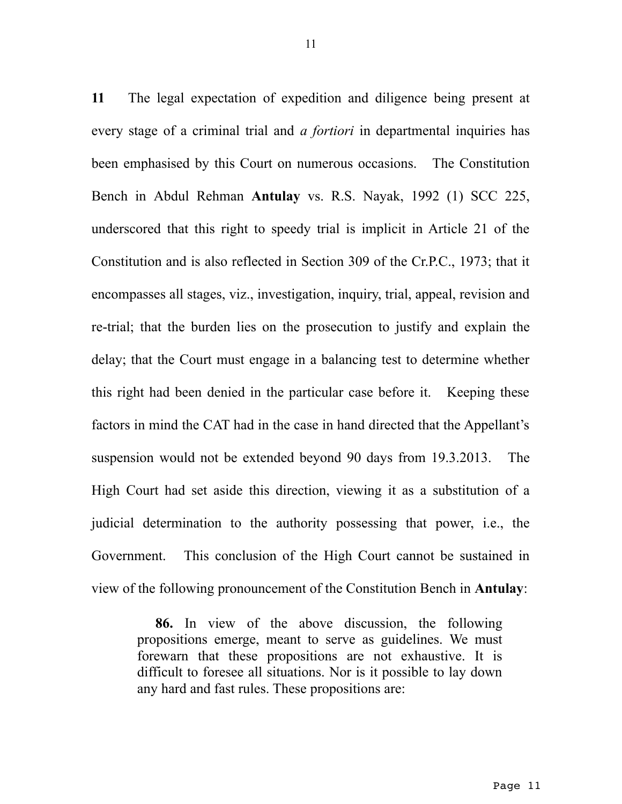**11** The legal expectation of expedition and diligence being present at every stage of a criminal trial and *a fortiori* in departmental inquiries has been emphasised by this Court on numerous occasions. The Constitution Bench in Abdul Rehman **Antulay** vs. R.S. Nayak, 1992 (1) SCC 225, underscored that this right to speedy trial is implicit in Article 21 of the Constitution and is also reflected in Section 309 of the Cr.P.C., 1973; that it encompasses all stages, viz., investigation, inquiry, trial, appeal, revision and re-trial; that the burden lies on the prosecution to justify and explain the delay; that the Court must engage in a balancing test to determine whether this right had been denied in the particular case before it. Keeping these factors in mind the CAT had in the case in hand directed that the Appellant's suspension would not be extended beyond 90 days from 19.3.2013. The High Court had set aside this direction, viewing it as a substitution of a judicial determination to the authority possessing that power, i.e., the Government. This conclusion of the High Court cannot be sustained in view of the following pronouncement of the Constitution Bench in **Antulay**:

> **86.** In view of the above discussion, the following propositions emerge, meant to serve as guidelines. We must forewarn that these propositions are not exhaustive. It is difficult to foresee all situations. Nor is it possible to lay down any hard and fast rules. These propositions are: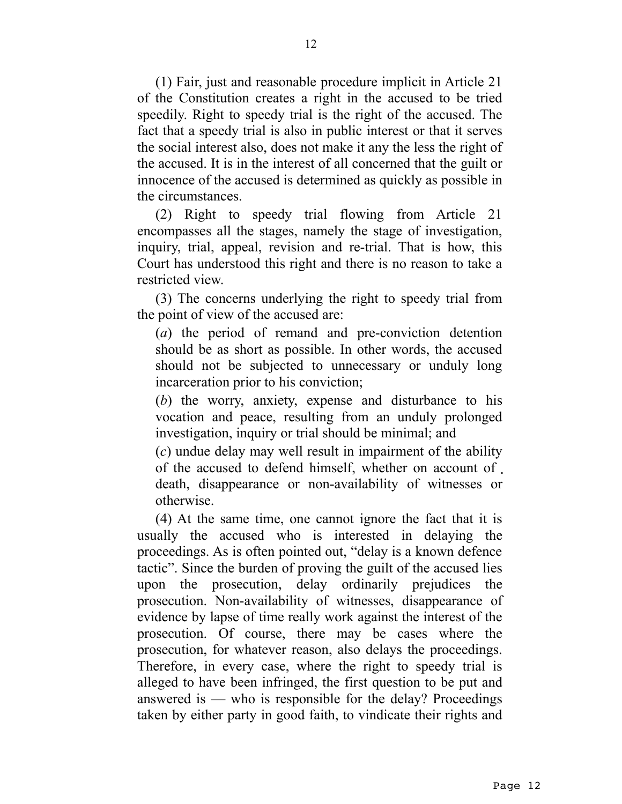(1) Fair, just and reasonable procedure implicit in Article 21 of the Constitution creates a right in the accused to be tried speedily. Right to speedy trial is the right of the accused. The fact that a speedy trial is also in public interest or that it serves the social interest also, does not make it any the less the right of the accused. It is in the interest of all concerned that the guilt or innocence of the accused is determined as quickly as possible in the circumstances.

(2) Right to speedy trial flowing from Article 21 encompasses all the stages, namely the stage of investigation, inquiry, trial, appeal, revision and re-trial. That is how, this Court has understood this right and there is no reason to take a restricted view.

(3) The concerns underlying the right to speedy trial from the point of view of the accused are:

(*a*) the period of remand and pre-conviction detention should be as short as possible. In other words, the accused should not be subjected to unnecessary or unduly long incarceration prior to his conviction;

(*b*) the worry, anxiety, expense and disturbance to his vocation and peace, resulting from an unduly prolonged investigation, inquiry or trial should be minimal; and

(*c*) undue delay may well result in impairment of the ability of the accused to defend himself, whether on account of death, disappearance or non-availability of witnesses or otherwise.

(4) At the same time, one cannot ignore the fact that it is usually the accused who is interested in delaying the proceedings. As is often pointed out, "delay is a known defence tactic". Since the burden of proving the guilt of the accused lies upon the prosecution, delay ordinarily prejudices the prosecution. Non-availability of witnesses, disappearance of evidence by lapse of time really work against the interest of the prosecution. Of course, there may be cases where the prosecution, for whatever reason, also delays the proceedings. Therefore, in every case, where the right to speedy trial is alleged to have been infringed, the first question to be put and answered is — who is responsible for the delay? Proceedings taken by either party in good faith, to vindicate their rights and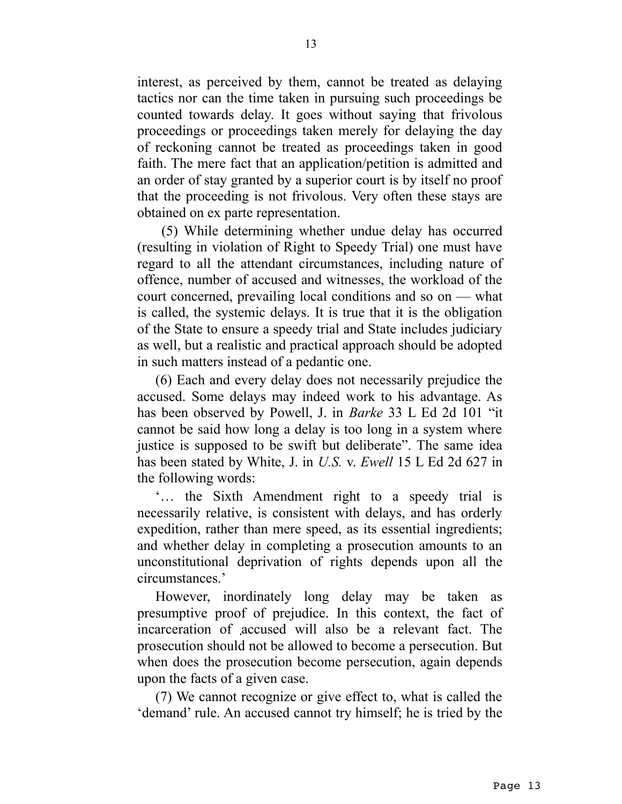interest, as perceived by them, cannot be treated as delaying tactics nor can the time taken in pursuing such proceedings be counted towards delay. It goes without saying that frivolous proceedings or proceedings taken merely for delaying the day of reckoning cannot be treated as proceedings taken in good faith. The mere fact that an application/petition is admitted and an order of stay granted by a superior court is by itself no proof that the proceeding is not frivolous. Very often these stays are obtained on ex parte representation.

 (5) While determining whether undue delay has occurred (resulting in violation of Right to Speedy Trial) one must have regard to all the attendant circumstances, including nature of offence, number of accused and witnesses, the workload of the court concerned, prevailing local conditions and so on — what is called, the systemic delays. It is true that it is the obligation of the State to ensure a speedy trial and State includes judiciary as well, but a realistic and practical approach should be adopted in such matters instead of a pedantic one.

(6) Each and every delay does not necessarily prejudice the accused. Some delays may indeed work to his advantage. As has been observed by Powell, J. in *Barke* 33 L Ed 2d 101 "it cannot be said how long a delay is too long in a system where justice is supposed to be swift but deliberate". The same idea has been stated by White, J. in *U.S.* v. *Ewell* 15 L Ed 2d 627 in the following words:

'… the Sixth Amendment right to a speedy trial is necessarily relative, is consistent with delays, and has orderly expedition, rather than mere speed, as its essential ingredients; and whether delay in completing a prosecution amounts to an unconstitutional deprivation of rights depends upon all the circumstances.'

However, inordinately long delay may be taken as presumptive proof of prejudice. In this context, the fact of incarceration of accused will also be a relevant fact. The prosecution should not be allowed to become a persecution. But when does the prosecution become persecution, again depends upon the facts of a given case.

(7) We cannot recognize or give effect to, what is called the 'demand' rule. An accused cannot try himself; he is tried by the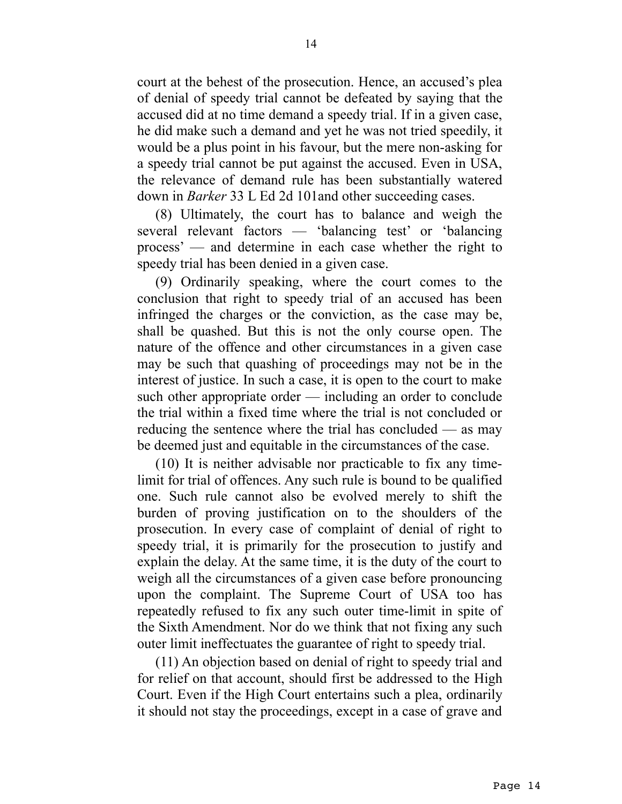court at the behest of the prosecution. Hence, an accused's plea of denial of speedy trial cannot be defeated by saying that the accused did at no time demand a speedy trial. If in a given case, he did make such a demand and yet he was not tried speedily, it would be a plus point in his favour, but the mere non-asking for a speedy trial cannot be put against the accused. Even in USA, the relevance of demand rule has been substantially watered down in *Barker* 33 L Ed 2d 101and other succeeding cases.

(8) Ultimately, the court has to balance and weigh the several relevant factors — 'balancing test' or 'balancing process' — and determine in each case whether the right to speedy trial has been denied in a given case.

(9) Ordinarily speaking, where the court comes to the conclusion that right to speedy trial of an accused has been infringed the charges or the conviction, as the case may be, shall be quashed. But this is not the only course open. The nature of the offence and other circumstances in a given case may be such that quashing of proceedings may not be in the interest of justice. In such a case, it is open to the court to make such other appropriate order — including an order to conclude the trial within a fixed time where the trial is not concluded or reducing the sentence where the trial has concluded — as may be deemed just and equitable in the circumstances of the case.

(10) It is neither advisable nor practicable to fix any timelimit for trial of offences. Any such rule is bound to be qualified one. Such rule cannot also be evolved merely to shift the burden of proving justification on to the shoulders of the prosecution. In every case of complaint of denial of right to speedy trial, it is primarily for the prosecution to justify and explain the delay. At the same time, it is the duty of the court to weigh all the circumstances of a given case before pronouncing upon the complaint. The Supreme Court of USA too has repeatedly refused to fix any such outer time-limit in spite of the Sixth Amendment. Nor do we think that not fixing any such outer limit ineffectuates the guarantee of right to speedy trial.

(11) An objection based on denial of right to speedy trial and for relief on that account, should first be addressed to the High Court. Even if the High Court entertains such a plea, ordinarily it should not stay the proceedings, except in a case of grave and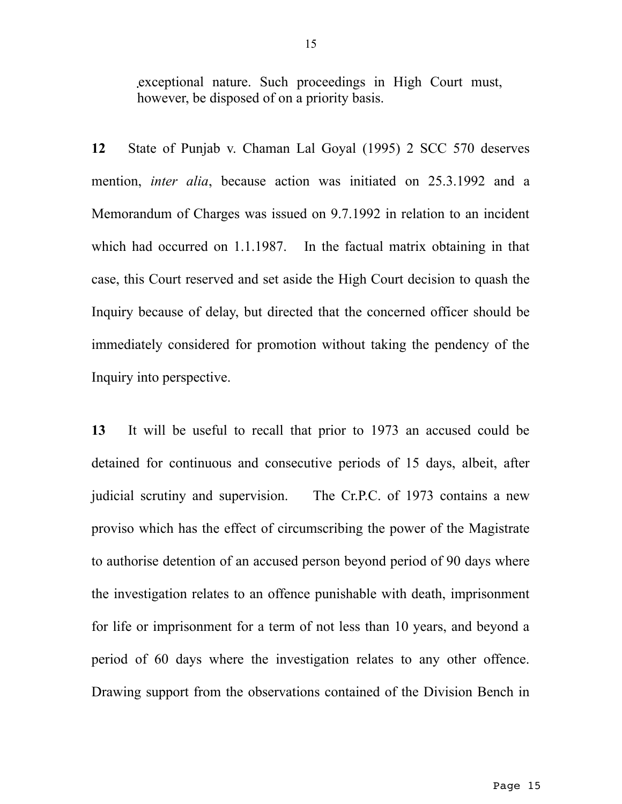exceptional nature. Such proceedings in High Court must, however, be disposed of on a priority basis.

**12** State of Punjab v. Chaman Lal Goyal (1995) 2 SCC 570 deserves mention, *inter alia*, because action was initiated on 25.3.1992 and a Memorandum of Charges was issued on 9.7.1992 in relation to an incident which had occurred on 1.1.1987. In the factual matrix obtaining in that case, this Court reserved and set aside the High Court decision to quash the Inquiry because of delay, but directed that the concerned officer should be immediately considered for promotion without taking the pendency of the Inquiry into perspective.

**13** It will be useful to recall that prior to 1973 an accused could be detained for continuous and consecutive periods of 15 days, albeit, after judicial scrutiny and supervision. The Cr.P.C. of 1973 contains a new proviso which has the effect of circumscribing the power of the Magistrate to authorise detention of an accused person beyond period of 90 days where the investigation relates to an offence punishable with death, imprisonment for life or imprisonment for a term of not less than 10 years, and beyond a period of 60 days where the investigation relates to any other offence. Drawing support from the observations contained of the Division Bench in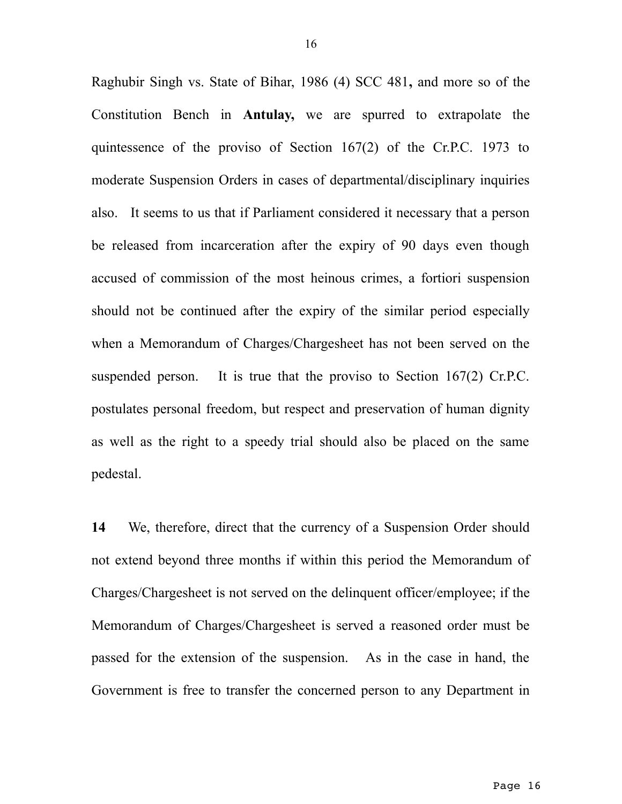Raghubir Singh vs. State of Bihar, 1986 (4) SCC 481**,** and more so of the Constitution Bench in **Antulay,** we are spurred to extrapolate the quintessence of the proviso of Section 167(2) of the Cr.P.C. 1973 to moderate Suspension Orders in cases of departmental/disciplinary inquiries also. It seems to us that if Parliament considered it necessary that a person be released from incarceration after the expiry of 90 days even though accused of commission of the most heinous crimes, a fortiori suspension should not be continued after the expiry of the similar period especially when a Memorandum of Charges/Chargesheet has not been served on the suspended person. It is true that the proviso to Section 167(2) Cr.P.C. postulates personal freedom, but respect and preservation of human dignity as well as the right to a speedy trial should also be placed on the same pedestal.

**14** We, therefore, direct that the currency of a Suspension Order should not extend beyond three months if within this period the Memorandum of Charges/Chargesheet is not served on the delinquent officer/employee; if the Memorandum of Charges/Chargesheet is served a reasoned order must be passed for the extension of the suspension. As in the case in hand, the Government is free to transfer the concerned person to any Department in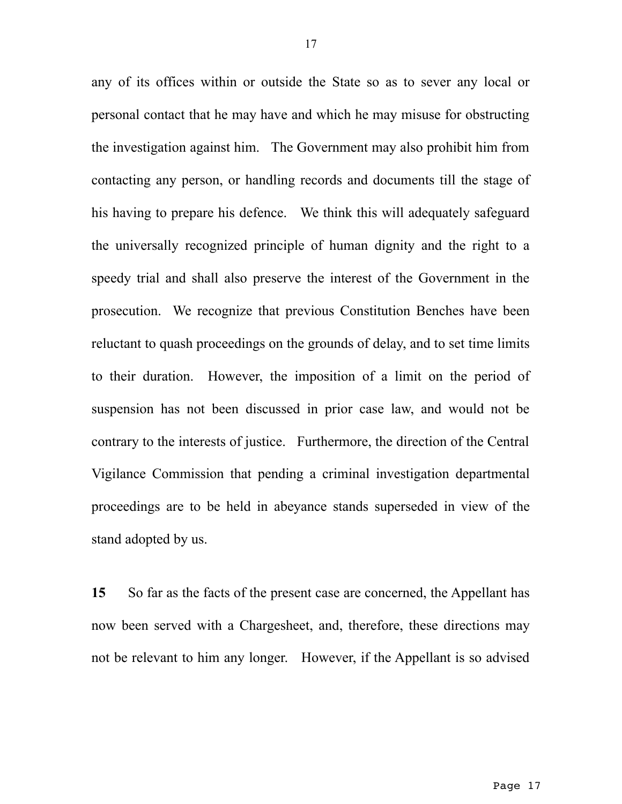any of its offices within or outside the State so as to sever any local or personal contact that he may have and which he may misuse for obstructing the investigation against him. The Government may also prohibit him from contacting any person, or handling records and documents till the stage of his having to prepare his defence. We think this will adequately safeguard the universally recognized principle of human dignity and the right to a speedy trial and shall also preserve the interest of the Government in the prosecution. We recognize that previous Constitution Benches have been reluctant to quash proceedings on the grounds of delay, and to set time limits to their duration. However, the imposition of a limit on the period of suspension has not been discussed in prior case law, and would not be contrary to the interests of justice. Furthermore, the direction of the Central Vigilance Commission that pending a criminal investigation departmental proceedings are to be held in abeyance stands superseded in view of the stand adopted by us.

**15** So far as the facts of the present case are concerned, the Appellant has now been served with a Chargesheet, and, therefore, these directions may not be relevant to him any longer. However, if the Appellant is so advised